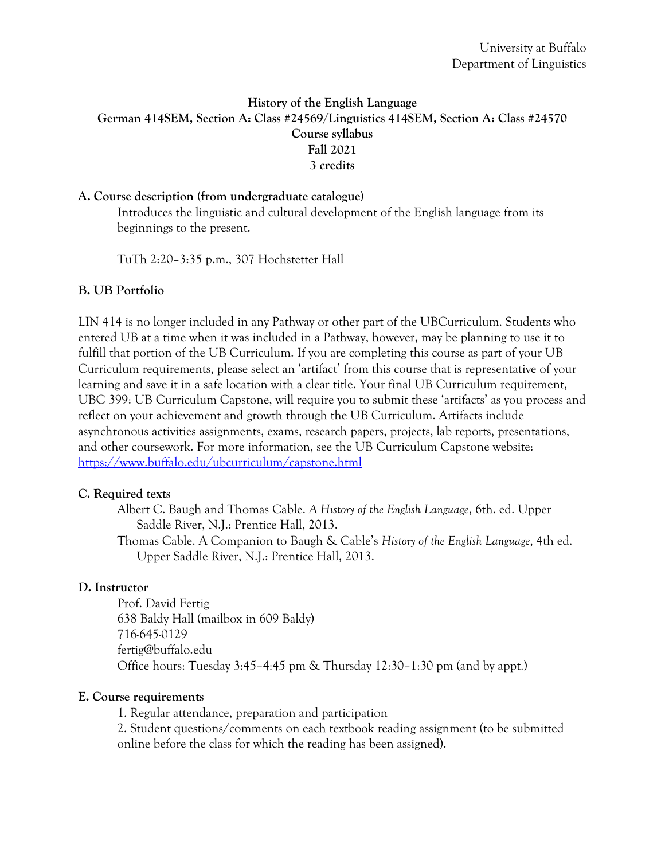# **History of the English Language German 414SEM, Section A: Class #24569/Linguistics 414SEM, Section A: Class #24570 Course syllabus Fall 2021 3 credits**

## **A. Course description (from undergraduate catalogue)**

Introduces the linguistic and cultural development of the English language from its beginnings to the present.

TuTh 2:20–3:35 p.m., 307 Hochstetter Hall

## **B. UB Portfolio**

LIN 414 is no longer included in any Pathway or other part of the UBCurriculum. Students who entered UB at a time when it was included in a Pathway, however, may be planning to use it to fulfill that portion of the UB Curriculum. If you are completing this course as part of your UB Curriculum requirements, please select an 'artifact' from this course that is representative of your learning and save it in a safe location with a clear title. Your final UB Curriculum requirement, UBC 399: UB Curriculum Capstone, will require you to submit these 'artifacts' as you process and reflect on your achievement and growth through the UB Curriculum. Artifacts include asynchronous activities assignments, exams, research papers, projects, lab reports, presentations, and other coursework. For more information, see the UB Curriculum Capstone website: https://www.buffalo.edu/ubcurriculum/capstone.html

## **C. Required texts**

Albert C. Baugh and Thomas Cable. *A History of the English Language*, 6th. ed. Upper Saddle River, N.J.: Prentice Hall, 2013.

Thomas Cable. A Companion to Baugh & Cable's *History of the English Language*, 4th ed. Upper Saddle River, N.J.: Prentice Hall, 2013.

## **D. Instructor**

Prof. David Fertig 638 Baldy Hall (mailbox in 609 Baldy) 716-645-0129 fertig@buffalo.edu Office hours: Tuesday 3:45–4:45 pm & Thursday 12:30–1:30 pm (and by appt.)

## **E. Course requirements**

1. Regular attendance, preparation and participation

2. Student questions/comments on each textbook reading assignment (to be submitted online before the class for which the reading has been assigned).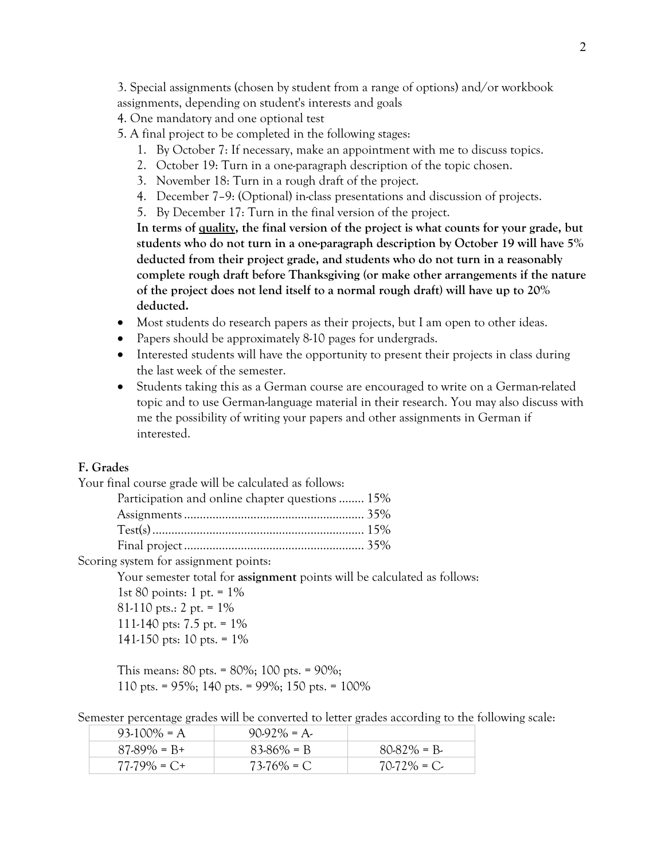3. Special assignments (chosen by student from a range of options) and/or workbook assignments, depending on student's interests and goals

4. One mandatory and one optional test

5. A final project to be completed in the following stages:

- 1. By October 7: If necessary, make an appointment with me to discuss topics.
- 2. October 19: Turn in a one-paragraph description of the topic chosen.
- 3. November 18: Turn in a rough draft of the project.
- 4. December 7–9: (Optional) in-class presentations and discussion of projects.
- 5. By December 17: Turn in the final version of the project.

**In terms of quality, the final version of the project is what counts for your grade, but students who do not turn in a one-paragraph description by October 19 will have 5% deducted from their project grade, and students who do not turn in a reasonably complete rough draft before Thanksgiving (or make other arrangements if the nature of the project does not lend itself to a normal rough draft) will have up to 20% deducted.**

- Most students do research papers as their projects, but I am open to other ideas.
- Papers should be approximately 8-10 pages for undergrads.
- Interested students will have the opportunity to present their projects in class during the last week of the semester.
- Students taking this as a German course are encouraged to write on a German-related topic and to use German-language material in their research. You may also discuss with me the possibility of writing your papers and other assignments in German if interested.

#### **F. Grades**

Your final course grade will be calculated as follows:

| Participation and online chapter questions  15% |  |
|-------------------------------------------------|--|
|                                                 |  |
|                                                 |  |
|                                                 |  |
|                                                 |  |

Scoring system for assignment points:

Your semester total for **assignment** points will be calculated as follows:

1st 80 points:  $1 \text{ pt.} = 1\%$ 

81-110 pts.: 2 pt. = 1%

111-140 pts: 7.5 pt. = 1%

141-150 pts: 10 pts. = 1%

This means: 80 pts. = 80%; 100 pts. = 90%; 110 pts. = 95%; 140 pts. = 99%; 150 pts. = 100%

| Semester percentage grades will be converted to letter grades according to the following scale: |  |  |
|-------------------------------------------------------------------------------------------------|--|--|
|-------------------------------------------------------------------------------------------------|--|--|

| $93-100% = A$   | $90.92\% = A$ |               |
|-----------------|---------------|---------------|
| $87-89\% = B+$  | $83.86\% = B$ | $80.82\% = B$ |
| $77.79\% = C +$ | $73-76\% = C$ | $70-72\% = C$ |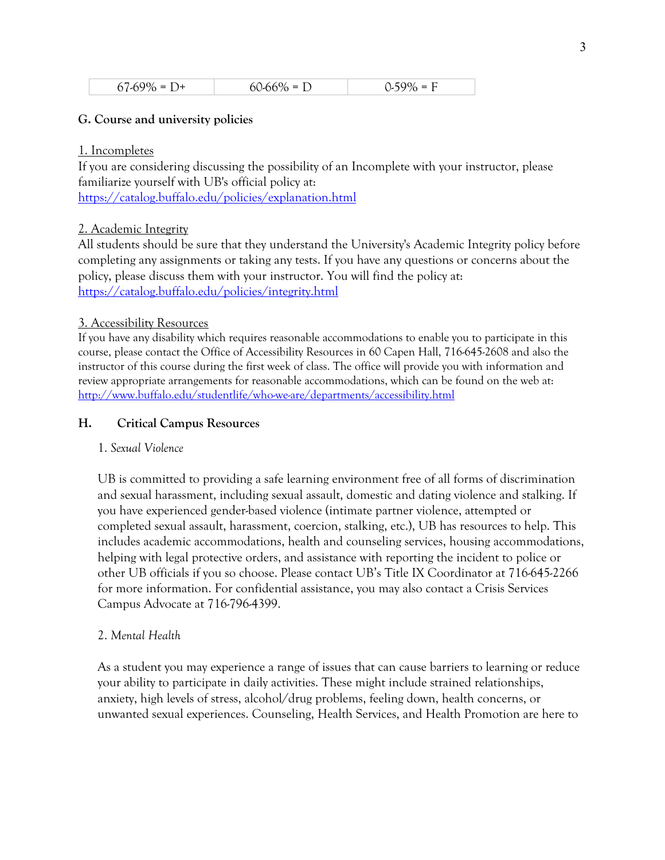| $67-69\% = D+$ | $60.66\% = D$ | $0.59\% = F$ |
|----------------|---------------|--------------|
|                |               |              |

#### **G. Course and university policies**

#### 1. Incompletes

If you are considering discussing the possibility of an Incomplete with your instructor, please familiarize yourself with UB's official policy at: https://catalog.buffalo.edu/policies/explanation.html

## 2. Academic Integrity

All students should be sure that they understand the University's Academic Integrity policy before completing any assignments or taking any tests. If you have any questions or concerns about the policy, please discuss them with your instructor. You will find the policy at: https://catalog.buffalo.edu/policies/integrity.html

#### 3. Accessibility Resources

If you have any disability which requires reasonable accommodations to enable you to participate in this course, please contact the Office of Accessibility Resources in 60 Capen Hall, 716-645-2608 and also the instructor of this course during the first week of class. The office will provide you with information and review appropriate arrangements for reasonable accommodations, which can be found on the web at: http://www.buffalo.edu/studentlife/who-we-are/departments/accessibility.html

#### **H. Critical Campus Resources**

#### 1. *Sexual Violence*

UB is committed to providing a safe learning environment free of all forms of discrimination and sexual harassment, including sexual assault, domestic and dating violence and stalking. If you have experienced gender-based violence (intimate partner violence, attempted or completed sexual assault, harassment, coercion, stalking, etc.), UB has resources to help. This includes academic accommodations, health and counseling services, housing accommodations, helping with legal protective orders, and assistance with reporting the incident to police or other UB officials if you so choose. Please contact UB's Title IX Coordinator at 716-645-2266 for more information. For confidential assistance, you may also contact a Crisis Services Campus Advocate at 716-796-4399.

#### 2. *Mental Health*

As a student you may experience a range of issues that can cause barriers to learning or reduce your ability to participate in daily activities. These might include strained relationships, anxiety, high levels of stress, alcohol/drug problems, feeling down, health concerns, or unwanted sexual experiences. Counseling, Health Services, and Health Promotion are here to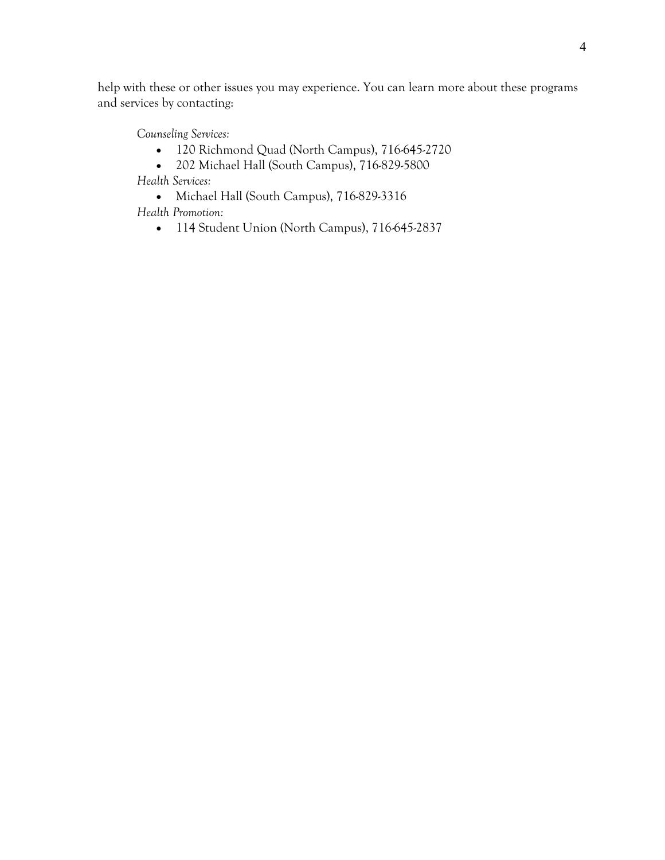help with these or other issues you may experience. You can learn more about these programs and services by contacting:

*Counseling Services:*

- 120 Richmond Quad (North Campus), 716-645-2720
- 202 Michael Hall (South Campus), 716-829-5800 *Health Services:*
	- Michael Hall (South Campus), 716-829-3316
- *Health Promotion:*
	- 114 Student Union (North Campus), 716-645-2837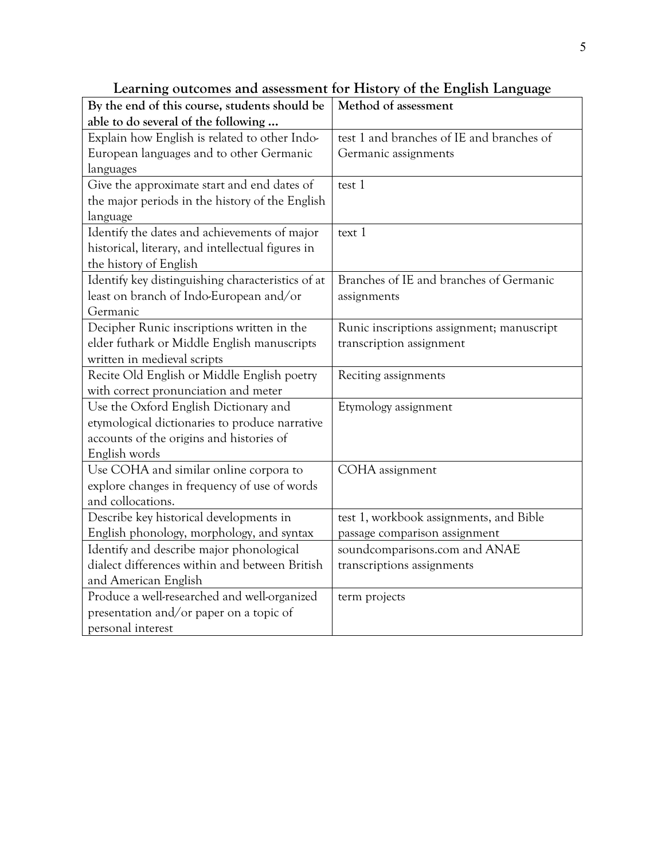| By the end of this course, students should be     | Method of assessment                      |  |
|---------------------------------------------------|-------------------------------------------|--|
| able to do several of the following               |                                           |  |
| Explain how English is related to other Indo-     | test 1 and branches of IE and branches of |  |
| European languages and to other Germanic          | Germanic assignments                      |  |
| languages                                         |                                           |  |
| Give the approximate start and end dates of       | test 1                                    |  |
| the major periods in the history of the English   |                                           |  |
| language                                          |                                           |  |
| Identify the dates and achievements of major      | text 1                                    |  |
| historical, literary, and intellectual figures in |                                           |  |
| the history of English                            |                                           |  |
| Identify key distinguishing characteristics of at | Branches of IE and branches of Germanic   |  |
| least on branch of Indo-European and/or           | assignments                               |  |
| Germanic                                          |                                           |  |
| Decipher Runic inscriptions written in the        | Runic inscriptions assignment; manuscript |  |
| elder futhark or Middle English manuscripts       | transcription assignment                  |  |
| written in medieval scripts                       |                                           |  |
| Recite Old English or Middle English poetry       | Reciting assignments                      |  |
| with correct pronunciation and meter              |                                           |  |
| Use the Oxford English Dictionary and             | Etymology assignment                      |  |
| etymological dictionaries to produce narrative    |                                           |  |
| accounts of the origins and histories of          |                                           |  |
| English words                                     |                                           |  |
| Use COHA and similar online corpora to            | COHA assignment                           |  |
| explore changes in frequency of use of words      |                                           |  |
| and collocations.                                 |                                           |  |
| Describe key historical developments in           | test 1, workbook assignments, and Bible   |  |
| English phonology, morphology, and syntax         | passage comparison assignment             |  |
| Identify and describe major phonological          | soundcomparisons.com and ANAE             |  |
| dialect differences within and between British    | transcriptions assignments                |  |
| and American English                              |                                           |  |
| Produce a well-researched and well-organized      | term projects                             |  |
| presentation and/or paper on a topic of           |                                           |  |
| personal interest                                 |                                           |  |

**Learning outcomes and assessment for History of the English Language**